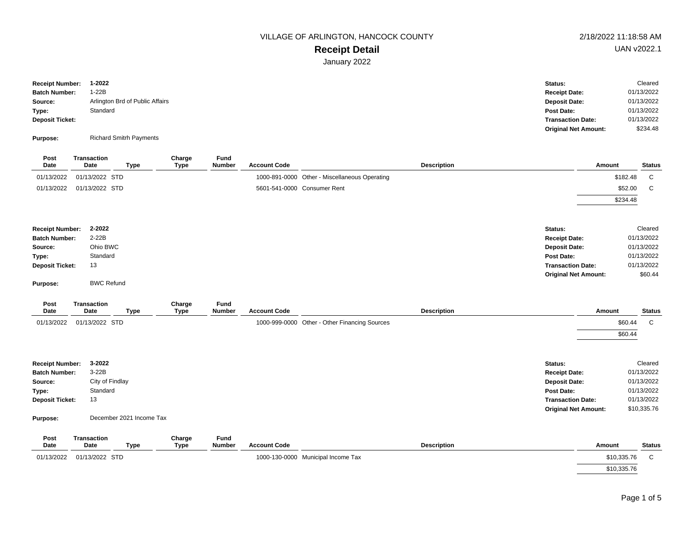# **Receipt Detail**

January 2022

| <b>Receipt Number:</b> | 1-2022                          | Status:                     | Cleared    |
|------------------------|---------------------------------|-----------------------------|------------|
| <b>Batch Number:</b>   | 1-22B                           | <b>Receipt Date:</b>        | 01/13/2022 |
| Source:                | Arlington Brd of Public Affairs | <b>Deposit Date:</b>        | 01/13/2022 |
| Type:                  | Standard                        | Post Date:                  | 01/13/2022 |
| <b>Deposit Ticket:</b> |                                 | <b>Transaction Date:</b>    | 01/13/2022 |
|                        |                                 | <b>Original Net Amount:</b> | \$234.48   |
| Purpose:               | <b>Richard Smitrh Payments</b>  |                             |            |

| Post<br>Date                    | <b>Transaction</b><br>Date | <b>Type</b> |                          | Charge<br><b>Type</b> | Fund<br>Number | <b>Account Code</b> |                                               | <b>Description</b> |                                    | Amount |          | <b>Status</b>            |
|---------------------------------|----------------------------|-------------|--------------------------|-----------------------|----------------|---------------------|-----------------------------------------------|--------------------|------------------------------------|--------|----------|--------------------------|
| 01/13/2022                      | 01/13/2022 STD             |             |                          |                       |                |                     | 1000-891-0000 Other - Miscellaneous Operating |                    |                                    |        | \$182.48 | C                        |
| 01/13/2022                      | 01/13/2022 STD             |             |                          |                       |                |                     | 5601-541-0000 Consumer Rent                   |                    |                                    |        | \$52.00  | C                        |
|                                 |                            |             |                          |                       |                |                     |                                               |                    |                                    |        | \$234.48 |                          |
|                                 |                            |             |                          |                       |                |                     |                                               |                    |                                    |        |          |                          |
| <b>Receipt Number:</b>          | 2-2022                     |             |                          |                       |                |                     |                                               |                    | Status:                            |        |          | Cleared                  |
| <b>Batch Number:</b>            | $2-22B$                    |             |                          |                       |                |                     |                                               |                    | <b>Receipt Date:</b>               |        |          | 01/13/2022               |
| Source:                         | Ohio BWC<br>Standard       |             |                          |                       |                |                     |                                               |                    | <b>Deposit Date:</b><br>Post Date: |        |          | 01/13/2022<br>01/13/2022 |
| Type:<br><b>Deposit Ticket:</b> | 13                         |             |                          |                       |                |                     |                                               |                    | <b>Transaction Date:</b>           |        |          | 01/13/2022               |
|                                 |                            |             |                          |                       |                |                     |                                               |                    | <b>Original Net Amount:</b>        |        |          | \$60.44                  |
| Purpose:                        | <b>BWC Refund</b>          |             |                          |                       |                |                     |                                               |                    |                                    |        |          |                          |
| Post<br>Date                    | <b>Transaction</b><br>Date | <b>Type</b> |                          | Charge<br><b>Type</b> | Fund<br>Number | <b>Account Code</b> |                                               | <b>Description</b> |                                    | Amount |          | <b>Status</b>            |
| 01/13/2022                      | 01/13/2022 STD             |             |                          |                       |                |                     | 1000-999-0000 Other - Other Financing Sources |                    |                                    |        | \$60.44  | C                        |
|                                 |                            |             |                          |                       |                |                     |                                               |                    |                                    |        | \$60.44  |                          |
|                                 |                            |             |                          |                       |                |                     |                                               |                    |                                    |        |          |                          |
| <b>Receipt Number:</b>          | 3-2022                     |             |                          |                       |                |                     |                                               |                    | Status:                            |        |          | Cleared                  |
| <b>Batch Number:</b>            | $3-22B$                    |             |                          |                       |                |                     |                                               |                    | <b>Receipt Date:</b>               |        |          | 01/13/2022               |
| Source:                         | City of Findlay            |             |                          |                       |                |                     |                                               |                    | <b>Deposit Date:</b>               |        |          | 01/13/2022               |
| Type:                           | Standard                   |             |                          |                       |                |                     |                                               |                    | Post Date:                         |        |          | 01/13/2022               |
| <b>Deposit Ticket:</b>          | 13                         |             |                          |                       |                |                     |                                               |                    | <b>Transaction Date:</b>           |        |          | 01/13/2022               |
| Purpose:                        |                            |             | December 2021 Income Tax |                       |                |                     |                                               |                    | <b>Original Net Amount:</b>        |        |          | \$10,335.76              |
| <b>Doct</b>                     | <b>Trancaction</b>         |             |                          | Charne                | <b>Eund</b>    |                     |                                               |                    |                                    |        |          |                          |

| . və.<br>Date | ,,,,,,,,,,,,,,,<br>Date | Type | <b>Offarge</b><br>Type | . u.u<br><b>Number</b> | <b>Account Code</b> | Description                        | Amount      | <b>Status</b> |
|---------------|-------------------------|------|------------------------|------------------------|---------------------|------------------------------------|-------------|---------------|
| 01/13/2022    | 01/13/2022 STD          |      |                        |                        |                     | 1000-130-0000 Municipal Income Tax | \$10,335.76 |               |
|               |                         |      |                        |                        |                     |                                    | \$10,335.76 |               |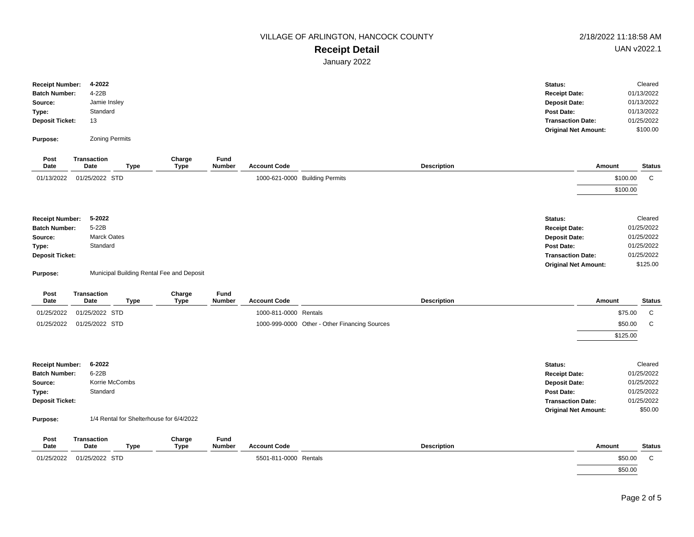## **Receipt Detail**

January 2022

|                        | 4-2022                |      |        |               |                     |                    | Status:                     | Cleared       |
|------------------------|-----------------------|------|--------|---------------|---------------------|--------------------|-----------------------------|---------------|
| <b>Receipt Number:</b> |                       |      |        |               |                     |                    |                             |               |
| <b>Batch Number:</b>   | 4-22B                 |      |        |               |                     |                    | <b>Receipt Date:</b>        | 01/13/2022    |
| Source:                | Jamie Insley          |      |        |               |                     |                    | <b>Deposit Date:</b>        | 01/13/2022    |
| Type:                  | Standard              |      |        |               |                     |                    | Post Date:                  | 01/13/2022    |
| <b>Deposit Ticket:</b> | 13                    |      |        |               |                     |                    | <b>Transaction Date:</b>    | 01/25/2022    |
|                        |                       |      |        |               |                     |                    | <b>Original Net Amount:</b> | \$100.00      |
| Purpose:               | <b>Zoning Permits</b> |      |        |               |                     |                    |                             |               |
|                        |                       |      |        |               |                     |                    |                             |               |
| Post                   | <b>Transaction</b>    |      | Charge | Fund          |                     |                    |                             |               |
| Date                   | Date                  | Type | Type   | <b>Number</b> | <b>Account Code</b> | <b>Description</b> | Amount                      | <b>Status</b> |

| Pute                   | Pute               | 'y P∽ | ,,,,,,,,,,, | <b>AUUUIIII UUUU</b> | <b>Peach Intion</b>            | <b>AUVUU</b> | <b>Ututus</b> |
|------------------------|--------------------|-------|-------------|----------------------|--------------------------------|--------------|---------------|
| 01/13/2022             | 01/25/2022 STD     |       |             |                      | 1000-621-0000 Building Permits | \$100.00     | C.            |
|                        |                    |       |             |                      |                                | \$100.00     |               |
|                        |                    |       |             |                      |                                |              |               |
| <b>Receipt Number:</b> | 5-2022             |       |             |                      | Status:                        |              | Cleared       |
| <b>Batch Number:</b>   | 5-22B              |       |             |                      | <b>Receipt Date:</b>           |              | 01/25/2022    |
| Source:                | <b>Marck Oates</b> |       |             |                      | <b>Deposit Date:</b>           |              | 01/25/2022    |
| Type:                  | Standard           |       |             |                      | Post Date:                     |              | 01/25/2022    |
| <b>Deposit Ticket:</b> |                    |       |             |                      | <b>Transaction Date:</b>       |              | 01/25/2022    |
|                        |                    |       |             |                      | <b>Original Net Amount:</b>    |              | \$125.00      |

**Purpose:** Municipal Building Rental Fee and Deposit

| Post<br>Date           | <b>Transaction</b><br>Date | Type | Charge<br>Type | Fund<br><b>Number</b> | <b>Account Code</b>   | <b>Description</b>                            |                             | Amount   | <b>Status</b> |
|------------------------|----------------------------|------|----------------|-----------------------|-----------------------|-----------------------------------------------|-----------------------------|----------|---------------|
| 01/25/2022             | 01/25/2022 STD             |      |                |                       | 1000-811-0000 Rentals |                                               |                             | \$75.00  | C             |
| 01/25/2022             | 01/25/2022 STD             |      |                |                       |                       | 1000-999-0000 Other - Other Financing Sources |                             | \$50.00  | C             |
|                        |                            |      |                |                       |                       |                                               |                             | \$125.00 |               |
|                        |                            |      |                |                       |                       |                                               |                             |          |               |
| <b>Receipt Number:</b> | 6-2022                     |      |                |                       |                       |                                               | Status:                     |          | Cleared       |
| <b>Batch Number:</b>   | 6-22B                      |      |                |                       |                       |                                               | <b>Receipt Date:</b>        |          | 01/25/2022    |
| Source:                | Korrie McCombs             |      |                |                       |                       |                                               | <b>Deposit Date:</b>        |          | 01/25/2022    |
| Type:                  | Standard                   |      |                |                       |                       |                                               | Post Date:                  |          | 01/25/2022    |
| <b>Deposit Ticket:</b> |                            |      |                |                       |                       |                                               | <b>Transaction Date:</b>    |          | 01/25/2022    |
|                        |                            |      |                |                       |                       |                                               | <b>Original Net Amount:</b> |          | \$50.00       |

**Purpose:** 1/4 Rental for Shelterhouse for 6/4/2022

| Post<br>Date | Transaction<br>Date | Type | Charge<br>Type | Fund<br><b>Number</b> | <b>Account Code</b>   | Description | Amount  | <b>Status</b> |
|--------------|---------------------|------|----------------|-----------------------|-----------------------|-------------|---------|---------------|
| 01/25/2022   | 01/25/2022 STD      |      |                |                       | 5501-811-0000 Rentals |             | \$50.00 |               |
|              |                     |      |                |                       |                       |             | \$50.00 |               |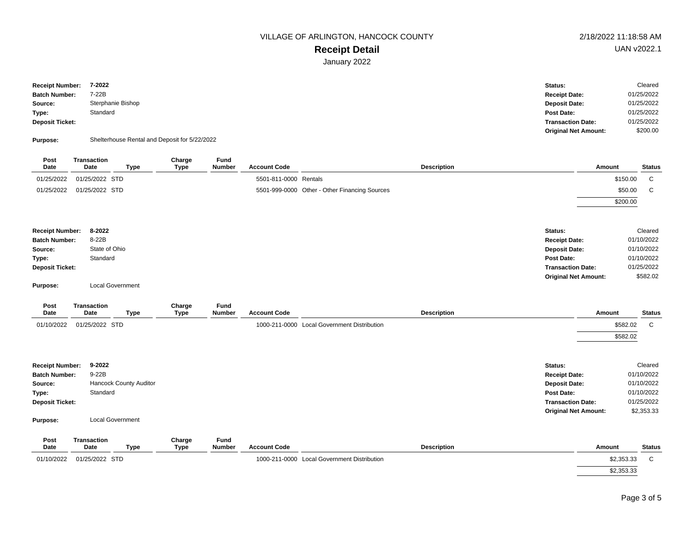# **Receipt Detail**

January 2022

| <b>Receipt Number:</b> | 7-2022            | Status:                     | Cleared    |
|------------------------|-------------------|-----------------------------|------------|
| <b>Batch Number:</b>   | 7-22B             | <b>Receipt Date:</b>        | 01/25/2022 |
| Source:                | Sterphanie Bishop | <b>Deposit Date:</b>        | 01/25/2022 |
| Type:                  | Standard          | Post Date:                  | 01/25/2022 |
| Deposit Ticket:        |                   | <b>Transaction Date:</b>    | 01/25/2022 |
|                        |                   | <b>Original Net Amount:</b> | \$200.00   |
|                        |                   |                             |            |

**Purpose:** Shelterhouse Rental and Deposit for 5/22/2022

| Post<br>Date           | <b>Transaction</b><br><b>Date</b> | <b>Type</b>             | Charge<br><b>Type</b> | Fund<br>Number | <b>Account Code</b>   |                                               | <b>Description</b> |                             | Amount     | <b>Status</b> |
|------------------------|-----------------------------------|-------------------------|-----------------------|----------------|-----------------------|-----------------------------------------------|--------------------|-----------------------------|------------|---------------|
| 01/25/2022             | 01/25/2022 STD                    |                         |                       |                | 5501-811-0000 Rentals |                                               |                    |                             | \$150.00   | $\mathbf C$   |
| 01/25/2022             | 01/25/2022 STD                    |                         |                       |                |                       | 5501-999-0000 Other - Other Financing Sources |                    |                             | \$50.00    | $\mathbf C$   |
|                        |                                   |                         |                       |                |                       |                                               |                    |                             | \$200.00   |               |
| <b>Receipt Number:</b> | 8-2022                            |                         |                       |                |                       |                                               |                    | Status:                     |            | Cleared       |
| <b>Batch Number:</b>   | 8-22B                             |                         |                       |                |                       |                                               |                    | <b>Receipt Date:</b>        |            | 01/10/2022    |
| Source:                | State of Ohio                     |                         |                       |                |                       |                                               |                    | <b>Deposit Date:</b>        |            | 01/10/2022    |
| Type:                  | Standard                          |                         |                       |                |                       |                                               |                    | Post Date:                  |            | 01/10/2022    |
| <b>Deposit Ticket:</b> |                                   |                         |                       |                |                       |                                               |                    | <b>Transaction Date:</b>    |            | 01/25/2022    |
| Purpose:               |                                   | <b>Local Government</b> |                       |                |                       |                                               |                    | <b>Original Net Amount:</b> |            | \$582.02      |
| Post<br>Date           | Transaction<br>Date               | <b>Type</b>             | Charge<br><b>Type</b> | Fund<br>Number | <b>Account Code</b>   |                                               | <b>Description</b> |                             | Amount     | <b>Status</b> |
| 01/10/2022             | 01/25/2022 STD                    |                         |                       |                |                       | 1000-211-0000 Local Government Distribution   |                    |                             | \$582.02   | $\mathbf C$   |
|                        |                                   |                         |                       |                |                       |                                               |                    |                             | \$582.02   |               |
| <b>Receipt Number:</b> | 9-2022                            |                         |                       |                |                       |                                               |                    | Status:                     |            | Cleared       |
| <b>Batch Number:</b>   | 9-22B                             |                         |                       |                |                       |                                               |                    | <b>Receipt Date:</b>        |            | 01/10/2022    |
| Source:                |                                   | Hancock County Auditor  |                       |                |                       |                                               |                    | <b>Deposit Date:</b>        |            | 01/10/2022    |
| Type:                  | Standard                          |                         |                       |                |                       |                                               |                    | Post Date:                  |            | 01/10/2022    |
| <b>Deposit Ticket:</b> |                                   |                         |                       |                |                       |                                               |                    | <b>Transaction Date:</b>    |            | 01/25/2022    |
| Purpose:               |                                   | <b>Local Government</b> |                       |                |                       |                                               |                    | <b>Original Net Amount:</b> |            | \$2,353.33    |
| Post                   | Transaction                       |                         | Charge                | Fund           |                       |                                               |                    |                             |            |               |
| Date                   | <b>Date</b>                       | <b>Type</b>             | <b>Type</b>           | <b>Number</b>  | <b>Account Code</b>   |                                               | <b>Description</b> |                             | Amount     | <b>Status</b> |
| 01/10/2022             | 01/25/2022 STD                    |                         |                       |                |                       | 1000-211-0000 Local Government Distribution   |                    |                             | \$2,353.33 | $\mathbf C$   |
|                        |                                   |                         |                       |                |                       |                                               |                    |                             | \$2,353.33 |               |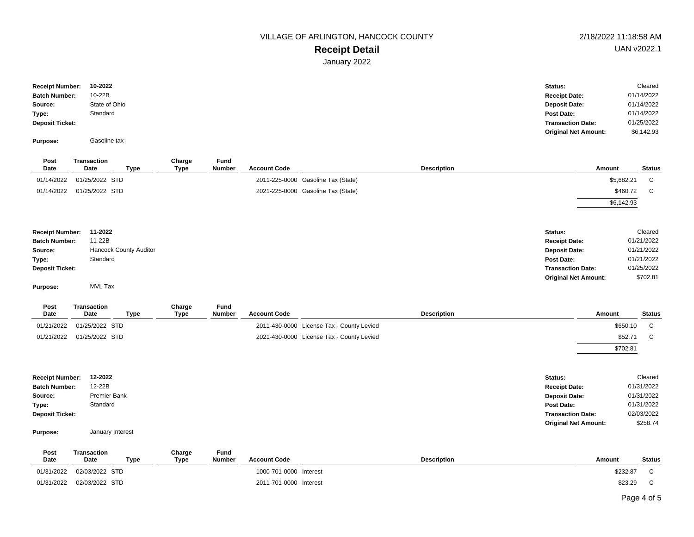# **Receipt Detail**

January 2022

| <b>Receipt Number:</b> | 10-2022       | Status:                     | Cleared    |
|------------------------|---------------|-----------------------------|------------|
| <b>Batch Number:</b>   | 10-22B        | <b>Receipt Date:</b>        | 01/14/2022 |
| Source:                | State of Ohio | <b>Deposit Date:</b>        | 01/14/2022 |
| Type:                  | Standard      | Post Date:                  | 01/14/2022 |
| <b>Deposit Ticket:</b> |               | <b>Transaction Date:</b>    | 01/25/2022 |
|                        |               | <b>Original Net Amount:</b> | \$6,142.93 |

| Purpose: | Gasoline tax |
|----------|--------------|

| Post<br>Date           | <b>Transaction</b><br>Date | <b>Type</b>                   | Charge<br>Type | Fund<br><b>Number</b> | <b>Account Code</b> |                                    | <b>Description</b> |                             | Amount     | <b>Status</b> |
|------------------------|----------------------------|-------------------------------|----------------|-----------------------|---------------------|------------------------------------|--------------------|-----------------------------|------------|---------------|
| 01/14/2022             | 01/25/2022 STD             |                               |                |                       |                     | 2011-225-0000 Gasoline Tax (State) |                    |                             | \$5,682.21 | C             |
| 01/14/2022             | 01/25/2022 STD             |                               |                |                       |                     | 2021-225-0000 Gasoline Tax (State) |                    |                             | \$460.72   | C             |
|                        |                            |                               |                |                       |                     |                                    |                    |                             | \$6,142.93 |               |
|                        |                            |                               |                |                       |                     |                                    |                    |                             |            |               |
| <b>Receipt Number:</b> | 11-2022                    |                               |                |                       |                     |                                    |                    | Status:                     |            | Cleared       |
| <b>Batch Number:</b>   | 11-22B                     |                               |                |                       |                     |                                    |                    | <b>Receipt Date:</b>        |            | 01/21/2022    |
| Source:                |                            | <b>Hancock County Auditor</b> |                |                       |                     |                                    |                    | <b>Deposit Date:</b>        |            | 01/21/2022    |
| Type:                  | Standard                   |                               |                |                       |                     |                                    |                    | Post Date:                  |            | 01/21/2022    |
| <b>Deposit Ticket:</b> |                            |                               |                |                       |                     |                                    |                    | <b>Transaction Date:</b>    |            | 01/25/2022    |
|                        |                            |                               |                |                       |                     |                                    |                    | <b>Original Net Amount:</b> |            | \$702.81      |
|                        |                            |                               |                |                       |                     |                                    |                    |                             |            |               |

**Purpose:** MVL Tax

| Post<br>Date | Transaction<br>Date | Type | Charge<br>Type | Fund<br><b>Number</b> | <b>Account Code</b> | <b>Description</b>                        | Amount   | Status |
|--------------|---------------------|------|----------------|-----------------------|---------------------|-------------------------------------------|----------|--------|
| 01/21/2022   | 01/25/2022 STD      |      |                |                       |                     | 2011-430-0000 License Tax - County Levied | \$650.10 |        |
| 01/21/2022   | 01/25/2022 STD      |      |                |                       |                     | 2021-430-0000 License Tax - County Levied | \$52.71  |        |
|              |                     |      |                |                       |                     |                                           | \$702.81 |        |

| <b>Receipt Number:</b> | 12-2022      | Status:                     | Cleared    |
|------------------------|--------------|-----------------------------|------------|
| <b>Batch Number:</b>   | 12-22B       | <b>Receipt Date:</b>        | 01/31/2022 |
| Source:                | Premier Bank | <b>Deposit Date:</b>        | 01/31/2022 |
| Type:                  | Standard     | Post Date:                  | 01/31/2022 |
| <b>Deposit Ticket:</b> |              | <b>Transaction Date:</b>    | 02/03/2022 |
|                        |              | <b>Original Net Amount:</b> | \$258.74   |

#### **Purpose:** January Interest

| Post<br>Date | Transaction<br>Date | Туре | Charge<br>Type | Fund<br><b>Number</b> | <b>Account Code</b>    | <b>Description</b> | Amount   | Status |
|--------------|---------------------|------|----------------|-----------------------|------------------------|--------------------|----------|--------|
| 01/31/2022   | 02/03/2022 STD      |      |                |                       | 1000-701-0000 Interest |                    | \$232.87 |        |
| 01/31/2022   | 02/03/2022 STD      |      |                |                       | 2011-701-0000 Interest |                    | \$23.29  |        |